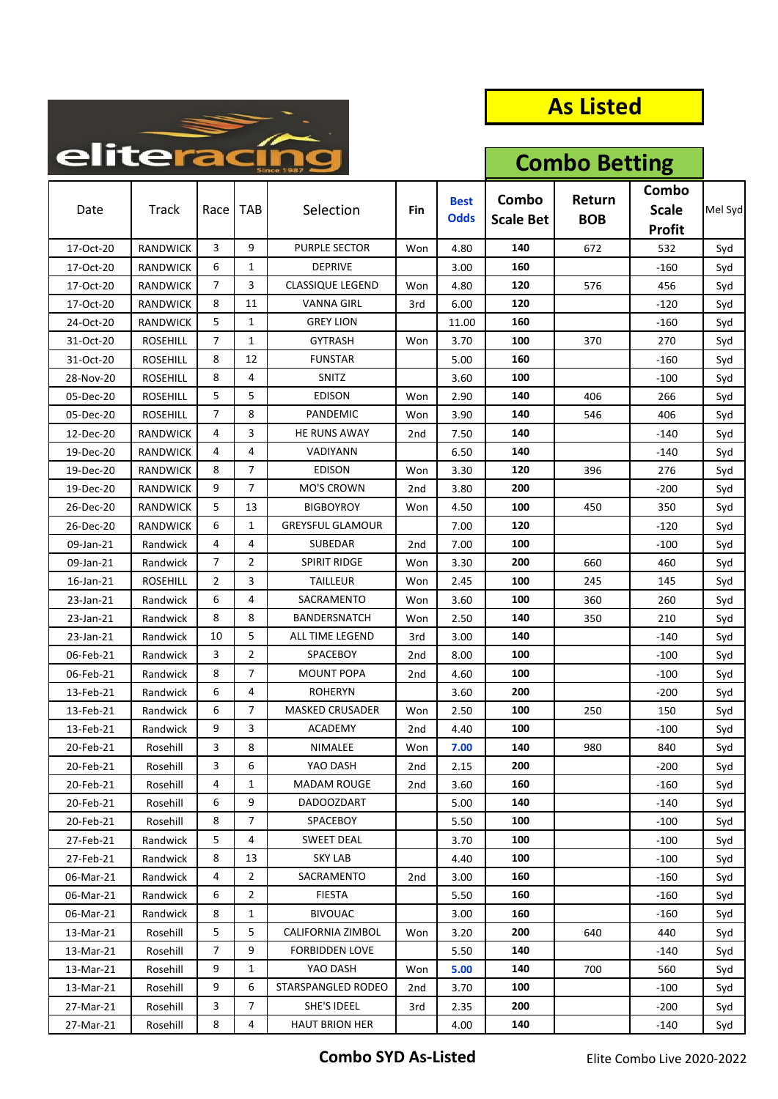

**Combo Betting**

| Date      | <b>Track</b>    | Race | TAB            | Selection               | Fin | <b>Best</b><br><b>Odds</b> | Combo<br><b>Scale Bet</b> | Return<br><b>BOB</b> | Combo<br><b>Scale</b><br><b>Profit</b> | Mel Syd |
|-----------|-----------------|------|----------------|-------------------------|-----|----------------------------|---------------------------|----------------------|----------------------------------------|---------|
| 17-Oct-20 | <b>RANDWICK</b> | 3    | 9              | <b>PURPLE SECTOR</b>    | Won | 4.80                       | 140                       | 672                  | 532                                    | Syd     |
| 17-Oct-20 | <b>RANDWICK</b> | 6    | $\mathbf{1}$   | <b>DEPRIVE</b>          |     | 3.00                       | 160                       |                      | -160                                   | Syd     |
| 17-Oct-20 | RANDWICK        | 7    | 3              | <b>CLASSIQUE LEGEND</b> | Won | 4.80                       | 120                       | 576                  | 456                                    | Syd     |
| 17-Oct-20 | <b>RANDWICK</b> | 8    | 11             | <b>VANNA GIRL</b>       | 3rd | 6.00                       | 120                       |                      | -120                                   | Syd     |
| 24-Oct-20 | RANDWICK        | 5    | $\mathbf{1}$   | <b>GREY LION</b>        |     | 11.00                      | 160                       |                      | -160                                   | Syd     |
| 31-Oct-20 | <b>ROSEHILL</b> | 7    | 1              | <b>GYTRASH</b>          | Won | 3.70                       | 100                       | 370                  | 270                                    | Syd     |
| 31-Oct-20 | <b>ROSEHILL</b> | 8    | 12             | <b>FUNSTAR</b>          |     | 5.00                       | 160                       |                      | -160                                   | Syd     |
| 28-Nov-20 | <b>ROSEHILL</b> | 8    | 4              | SNITZ                   |     | 3.60                       | 100                       |                      | $-100$                                 | Syd     |
| 05-Dec-20 | <b>ROSEHILL</b> | 5    | 5              | EDISON                  | Won | 2.90                       | 140                       | 406                  | 266                                    | Syd     |
| 05-Dec-20 | <b>ROSEHILL</b> | 7    | 8              | PANDEMIC                | Won | 3.90                       | 140                       | 546                  | 406                                    | Syd     |
| 12-Dec-20 | RANDWICK        | 4    | 3              | HE RUNS AWAY            | 2nd | 7.50                       | 140                       |                      | -140                                   | Syd     |
| 19-Dec-20 | <b>RANDWICK</b> | 4    | 4              | VADIYANN                |     | 6.50                       | 140                       |                      | -140                                   | Syd     |
| 19-Dec-20 | RANDWICK        | 8    | 7              | <b>EDISON</b>           | Won | 3.30                       | 120                       | 396                  | 276                                    | Syd     |
| 19-Dec-20 | <b>RANDWICK</b> | 9    | $\overline{7}$ | MO'S CROWN              | 2nd | 3.80                       | 200                       |                      | -200                                   | Syd     |
| 26-Dec-20 | <b>RANDWICK</b> | 5    | 13             | <b>BIGBOYROY</b>        | Won | 4.50                       | 100                       | 450                  | 350                                    | Syd     |
| 26-Dec-20 | RANDWICK        | 6    | 1              | <b>GREYSFUL GLAMOUR</b> |     | 7.00                       | 120                       |                      | -120                                   | Syd     |
| 09-Jan-21 | Randwick        | 4    | 4              | SUBEDAR                 | 2nd | 7.00                       | 100                       |                      | -100                                   | Syd     |
| 09-Jan-21 | Randwick        | 7    | $\overline{2}$ | <b>SPIRIT RIDGE</b>     | Won | 3.30                       | 200                       | 660                  | 460                                    | Syd     |
| 16-Jan-21 | <b>ROSEHILL</b> | 2    | 3              | TAILLEUR                | Won | 2.45                       | 100                       | 245                  | 145                                    | Syd     |
| 23-Jan-21 | Randwick        | 6    | 4              | SACRAMENTO              | Won | 3.60                       | 100                       | 360                  | 260                                    | Syd     |
| 23-Jan-21 | Randwick        | 8    | 8              | BANDERSNATCH            | Won | 2.50                       | 140                       | 350                  | 210                                    | Syd     |
| 23-Jan-21 | Randwick        | 10   | 5              | ALL TIME LEGEND         | 3rd | 3.00                       | 140                       |                      | -140                                   | Syd     |
| 06-Feb-21 | Randwick        | 3    | $\overline{2}$ | SPACEBOY                | 2nd | 8.00                       | 100                       |                      | -100                                   | Syd     |
| 06-Feb-21 | Randwick        | 8    | 7              | <b>MOUNT POPA</b>       | 2nd | 4.60                       | 100                       |                      | $-100$                                 | Syd     |
| 13-Feb-21 | Randwick        | 6    | 4              | ROHERYN                 |     | 3.60                       | 200                       |                      | -200                                   | Syd     |
| 13-Feb-21 | Randwick        | 6    | 7              | <b>MASKED CRUSADER</b>  | Won | 2.50                       | 100                       | 250                  | 150                                    | Syd     |
| 13-Feb-21 | Randwick        | 9    | 3              | <b>ACADEMY</b>          | 2nd | 4.40                       | 100                       |                      | -100                                   | Syd     |
| 20-Feb-21 | Rosehill        | 3    | 8              | NIMALEE                 | Won | 7.00                       | 140                       | 980                  | 840                                    | Syd     |
| 20-Feb-21 | Rosehill        | 3    | 6              | YAO DASH                | 2nd | 2.15                       | 200                       |                      | -200                                   | Syd     |
| 20-Feb-21 | Rosehill        | 4    | $\mathbf{1}$   | MADAM ROUGE             | 2nd | 3.60                       | 160                       |                      | -160                                   | Syd     |
| 20-Feb-21 | Rosehill        | 6    | 9              | <b>DADOOZDART</b>       |     | 5.00                       | 140                       |                      | -140                                   | Syd     |
| 20-Feb-21 | Rosehill        | 8    | $\overline{7}$ | SPACEBOY                |     | 5.50                       | 100                       |                      | -100                                   | Syd     |
| 27-Feb-21 | Randwick        | 5    | 4              | SWEET DEAL              |     | 3.70                       | 100                       |                      | $-100$                                 | Syd     |
| 27-Feb-21 | Randwick        | 8    | 13             | <b>SKY LAB</b>          |     | 4.40                       | 100                       |                      | -100                                   | Syd     |
| 06-Mar-21 | Randwick        | 4    | $\overline{2}$ | SACRAMENTO              | 2nd | 3.00                       | 160                       |                      | -160                                   | Syd     |
| 06-Mar-21 | Randwick        | 6    | $\overline{2}$ | <b>FIESTA</b>           |     | 5.50                       | 160                       |                      | -160                                   | Syd     |
| 06-Mar-21 | Randwick        | 8    | 1              | <b>BIVOUAC</b>          |     | 3.00                       | 160                       |                      | $-160$                                 | Syd     |
| 13-Mar-21 | Rosehill        | 5    | 5              | CALIFORNIA ZIMBOL       | Won | 3.20                       | 200                       | 640                  | 440                                    | Syd     |
| 13-Mar-21 | Rosehill        | 7    | 9              | <b>FORBIDDEN LOVE</b>   |     | 5.50                       | 140                       |                      | -140                                   | Syd     |
| 13-Mar-21 | Rosehill        | 9    | $\mathbf{1}$   | YAO DASH                | Won | 5.00                       | 140                       | 700                  | 560                                    | Syd     |
| 13-Mar-21 | Rosehill        | 9    | 6              | STARSPANGLED RODEO      | 2nd | 3.70                       | 100                       |                      | -100                                   | Syd     |
| 27-Mar-21 | Rosehill        | 3    | 7              | SHE'S IDEEL             | 3rd | 2.35                       | 200                       |                      | $-200$                                 | Syd     |
| 27-Mar-21 | Rosehill        | 8    | 4              | <b>HAUT BRION HER</b>   |     | 4.00                       | 140                       |                      | $-140$                                 | Syd     |

**Combo SYD As‐Listed** Elite Combo Live 2020‐2022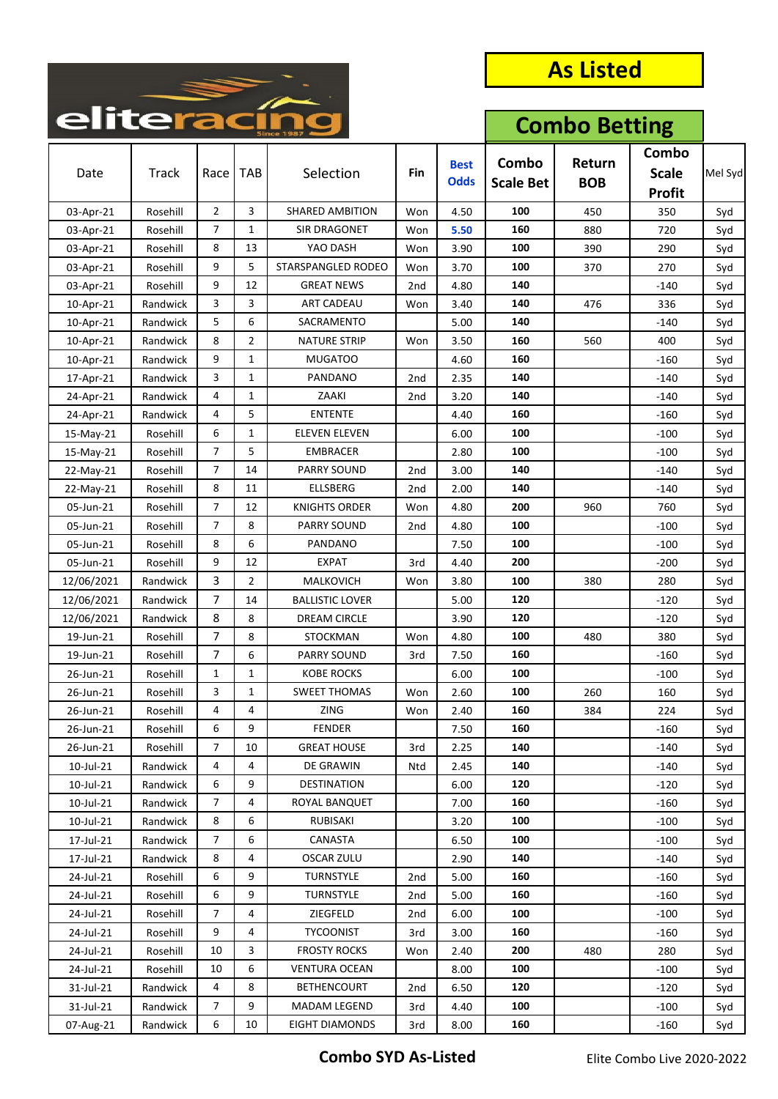

|            |              | enterac        |                |                        |                 |                            |                           | <b>Combo Betting</b> |                                        |         |  |
|------------|--------------|----------------|----------------|------------------------|-----------------|----------------------------|---------------------------|----------------------|----------------------------------------|---------|--|
| Date       | <b>Track</b> | Race           | <b>TAB</b>     | Selection              | Fin             | <b>Best</b><br><b>Odds</b> | Combo<br><b>Scale Bet</b> | Return<br><b>BOB</b> | Combo<br><b>Scale</b><br><b>Profit</b> | Mel Syd |  |
| 03-Apr-21  | Rosehill     | $\overline{2}$ | 3              | <b>SHARED AMBITION</b> | Won             | 4.50                       | 100                       | 450                  | 350                                    | Syd     |  |
| 03-Apr-21  | Rosehill     | 7              | $\mathbf{1}$   | <b>SIR DRAGONET</b>    | Won             | 5.50                       | 160                       | 880                  | 720                                    | Syd     |  |
| 03-Apr-21  | Rosehill     | 8              | 13             | YAO DASH               | Won             | 3.90                       | 100                       | 390                  | 290                                    | Syd     |  |
| 03-Apr-21  | Rosehill     | 9              | 5              | STARSPANGLED RODEO     | Won             | 3.70                       | 100                       | 370                  | 270                                    | Syd     |  |
| 03-Apr-21  | Rosehill     | 9              | 12             | <b>GREAT NEWS</b>      | 2nd             | 4.80                       | 140                       |                      | $-140$                                 | Syd     |  |
| 10-Apr-21  | Randwick     | 3              | 3              | ART CADEAU             | Won             | 3.40                       | 140                       | 476                  | 336                                    | Syd     |  |
| 10-Apr-21  | Randwick     | 5              | 6              | SACRAMENTO             |                 | 5.00                       | 140                       |                      | $-140$                                 | Syd     |  |
| 10-Apr-21  | Randwick     | 8              | $\overline{2}$ | <b>NATURE STRIP</b>    | Won             | 3.50                       | 160                       | 560                  | 400                                    | Syd     |  |
| 10-Apr-21  | Randwick     | 9              | $\mathbf{1}$   | MUGATOO                |                 | 4.60                       | 160                       |                      | $-160$                                 | Syd     |  |
| 17-Apr-21  | Randwick     | 3              | $\mathbf{1}$   | PANDANO                | 2 <sub>nd</sub> | 2.35                       | 140                       |                      | $-140$                                 | Syd     |  |
| 24-Apr-21  | Randwick     | 4              | 1              | ZAAKI                  | 2 <sub>nd</sub> | 3.20                       | 140                       |                      | $-140$                                 | Syd     |  |
| 24-Apr-21  | Randwick     | 4              | 5              | <b>ENTENTE</b>         |                 | 4.40                       | 160                       |                      | $-160$                                 | Syd     |  |
| 15-May-21  | Rosehill     | 6              | $\mathbf{1}$   | <b>ELEVEN ELEVEN</b>   |                 | 6.00                       | 100                       |                      | $-100$                                 | Syd     |  |
| 15-May-21  | Rosehill     | 7              | 5              | EMBRACER               |                 | 2.80                       | 100                       |                      | $-100$                                 | Syd     |  |
| 22-May-21  | Rosehill     | 7              | 14             | PARRY SOUND            | 2nd             | 3.00                       | 140                       |                      | $-140$                                 | Syd     |  |
| 22-May-21  | Rosehill     | 8              | 11             | <b>ELLSBERG</b>        | 2 <sub>nd</sub> | 2.00                       | 140                       |                      | $-140$                                 | Syd     |  |
| 05-Jun-21  | Rosehill     | 7              | 12             | <b>KNIGHTS ORDER</b>   | Won             | 4.80                       | 200                       | 960                  | 760                                    | Syd     |  |
| 05-Jun-21  | Rosehill     | 7              | 8              | <b>PARRY SOUND</b>     | 2nd             | 4.80                       | 100                       |                      | $-100$                                 | Syd     |  |
| 05-Jun-21  | Rosehill     | 8              | 6              | PANDANO                |                 | 7.50                       | 100                       |                      | $-100$                                 | Syd     |  |
| 05-Jun-21  | Rosehill     | 9              | 12             | <b>EXPAT</b>           | 3rd             | 4.40                       | 200                       |                      | $-200$                                 | Syd     |  |
| 12/06/2021 | Randwick     | 3              | $\overline{2}$ | MALKOVICH              | Won             | 3.80                       | 100                       | 380                  | 280                                    | Syd     |  |
| 12/06/2021 | Randwick     | $\overline{7}$ | 14             | BALLISTIC LOVER        |                 | 5.00                       | 120                       |                      | $-120$                                 | Syd     |  |
| 12/06/2021 | Randwick     | 8              | 8              | DREAM CIRCLE           |                 | 3.90                       | 120                       |                      | $-120$                                 | Syd     |  |
| 19-Jun-21  | Rosehill     | $\overline{7}$ | 8              | <b>STOCKMAN</b>        | Won             | 4.80                       | 100                       | 480                  | 380                                    | Syd     |  |
| 19-Jun-21  | Rosehill     | 7              | 6              | PARRY SOUND            | 3rd             | 7.50                       | 160                       |                      | $-160$                                 | Syd     |  |
| 26-Jun-21  | Rosehill     | 1              | 1              | KOBE ROCKS             |                 | 6.00                       | 100                       |                      | $-100$                                 | Syd     |  |
| 26-Jun-21  | Rosehill     | 3              | $\mathbf{1}$   | <b>SWEET THOMAS</b>    | Won             | 2.60                       | 100                       | 260                  | 160                                    | Syd     |  |
| 26-Jun-21  | Rosehill     | 4              | 4              | <b>ZING</b>            | Won             | 2.40                       | 160                       | 384                  | 224                                    | Syd     |  |
| 26-Jun-21  | Rosehill     | 6              | 9              | <b>FENDER</b>          |                 | 7.50                       | 160                       |                      | $-160$                                 | Syd     |  |
| 26-Jun-21  | Rosehill     | 7              | 10             | <b>GREAT HOUSE</b>     | 3rd             | 2.25                       | 140                       |                      | -140                                   | Syd     |  |
| 10-Jul-21  | Randwick     | 4              | 4              | DE GRAWIN              | Ntd             | 2.45                       | 140                       |                      | $-140$                                 | Syd     |  |
| 10-Jul-21  | Randwick     | 6              | 9              | DESTINATION            |                 | 6.00                       | 120                       |                      | $-120$                                 | Syd     |  |
| 10-Jul-21  | Randwick     | 7              | 4              | ROYAL BANQUET          |                 | 7.00                       | 160                       |                      | $-160$                                 | Syd     |  |
| 10-Jul-21  | Randwick     | 8              | 6              | RUBISAKI               |                 | 3.20                       | 100                       |                      | $-100$                                 | Syd     |  |
| 17-Jul-21  | Randwick     | 7              | 6              | CANASTA                |                 | 6.50                       | 100                       |                      | $-100$                                 | Syd     |  |
| 17-Jul-21  | Randwick     | 8              | 4              | <b>OSCAR ZULU</b>      |                 | 2.90                       | 140                       |                      | $-140$                                 | Syd     |  |
| 24-Jul-21  | Rosehill     | 6              | 9              | <b>TURNSTYLE</b>       | 2nd             | 5.00                       | 160                       |                      | $-160$                                 | Syd     |  |
| 24-Jul-21  | Rosehill     | 6              | 9              | <b>TURNSTYLE</b>       | 2nd             | 5.00                       | 160                       |                      | $-160$                                 | Syd     |  |
| 24-Jul-21  | Rosehill     | 7              | 4              | ZIEGFELD               | 2nd             | 6.00                       | 100                       |                      | $-100$                                 | Syd     |  |
| 24-Jul-21  | Rosehill     | 9              | 4              | <b>TYCOONIST</b>       | 3rd             | 3.00                       | 160                       |                      | $-160$                                 | Syd     |  |
| 24-Jul-21  | Rosehill     | 10             | 3              | <b>FROSTY ROCKS</b>    | Won             | 2.40                       | 200                       | 480                  | 280                                    | Syd     |  |
| 24-Jul-21  | Rosehill     | 10             | 6              | <b>VENTURA OCEAN</b>   |                 | 8.00                       | 100                       |                      | $-100$                                 | Syd     |  |
| 31-Jul-21  | Randwick     | 4              | 8              | <b>BETHENCOURT</b>     | 2nd             | 6.50                       | 120                       |                      | $-120$                                 | Syd     |  |
| 31-Jul-21  | Randwick     | $\overline{7}$ | 9              | MADAM LEGEND           | 3rd             | 4.40                       | 100                       |                      | $-100$                                 | Syd     |  |
| 07-Aug-21  | Randwick     | 6              | 10             | <b>EIGHT DIAMONDS</b>  | 3rd             | 8.00                       | 160                       |                      | $-160$                                 | Syd     |  |

**Combo SYD As‐Listed** Elite Combo Live 2020‐2022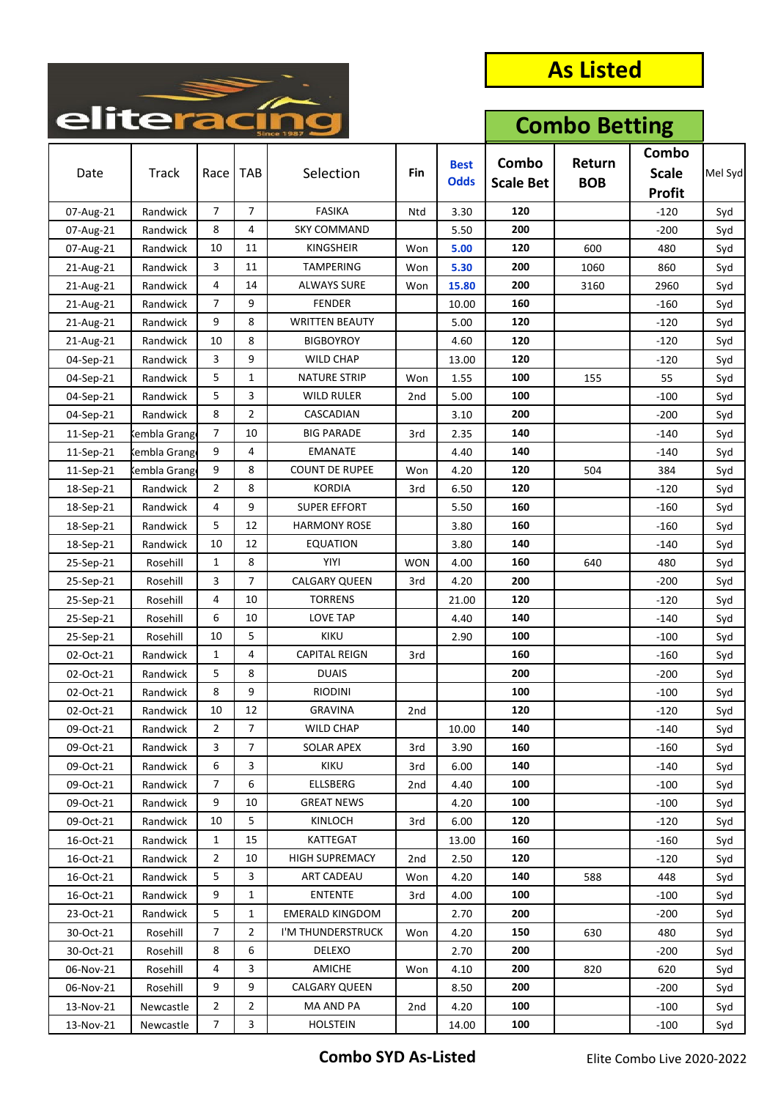

| Combo<br>Combo<br>Return<br><b>Best</b><br><b>Track</b><br><b>TAB</b><br>Selection<br>Fin<br><b>Scale</b><br>Date<br>Race<br><b>Odds</b><br><b>BOB</b><br><b>Scale Bet</b><br><b>Profit</b><br>$\overline{7}$<br><b>FASIKA</b><br>120<br>7<br>3.30<br>Randwick<br>Ntd<br>$-120$<br>07-Aug-21<br>Syd<br><b>SKY COMMAND</b><br>200<br>8<br>4<br>Randwick<br>5.50<br>$-200$<br>07-Aug-21<br>Syd<br>10<br>11<br>120<br><b>KINGSHEIR</b><br>5.00<br>600<br>07-Aug-21<br>Randwick<br>Won<br>480<br>Syd<br>3<br><b>TAMPERING</b><br>200<br>11<br>5.30<br>1060<br>860<br>21-Aug-21<br>Randwick<br>Won<br>Syd<br>4<br>14<br><b>ALWAYS SURE</b><br>200<br>Randwick<br>15.80<br>3160<br>2960<br>21-Aug-21<br>Won<br>Syd<br>7<br>9<br><b>FENDER</b><br>160<br>21-Aug-21<br>Randwick<br>10.00<br>$-160$<br>Syd<br>9<br>8<br><b>WRITTEN BEAUTY</b><br>120<br>21-Aug-21<br>Randwick<br>5.00<br>$-120$<br>Syd<br>8<br>10<br>120<br>Randwick<br><b>BIGBOYROY</b><br>4.60<br>$-120$<br>21-Aug-21<br>Syd<br>3<br>9<br><b>WILD CHAP</b><br>120<br>04-Sep-21<br>Randwick<br>13.00<br>$-120$<br>Syd<br>5<br>1<br><b>NATURE STRIP</b><br>100<br>04-Sep-21<br>Randwick<br>Won<br>1.55<br>155<br>55<br>Syd<br>5<br>3<br><b>WILD RULER</b><br>100<br>04-Sep-21<br>2 <sub>nd</sub><br>5.00<br>$-100$<br>Randwick<br>Syd<br>8<br>$\overline{2}$<br>CASCADIAN<br>200<br>04-Sep-21<br>Randwick<br>$-200$<br>3.10<br>Syd<br>7<br>140<br>10<br><b>BIG PARADE</b><br>3rd<br>2.35<br>$-140$<br>11-Sep-21<br>Cembla Grang<br>Syd<br>9<br>4<br>140<br><b>EMANATE</b><br>4.40<br>11-Sep-21<br>$-140$<br>Syd<br>kembla Grang<br>9<br>8<br><b>COUNT DE RUPEE</b><br>120<br>4.20<br>504<br>384<br>11-Sep-21<br>Kembla Grang<br>Won<br>Syd<br>$\overline{2}$<br>8<br><b>KORDIA</b><br>120<br>Randwick<br>3rd<br>6.50<br>$-120$<br>Syd<br>18-Sep-21<br>9<br>4<br><b>SUPER EFFORT</b><br>160<br>18-Sep-21<br>Randwick<br>5.50<br>$-160$<br>Syd<br>5<br>12<br><b>HARMONY ROSE</b><br>160<br>Randwick<br>3.80<br>$-160$<br>Syd<br>18-Sep-21<br>10<br>12<br><b>EQUATION</b><br>140<br>18-Sep-21<br>Randwick<br>3.80<br>$-140$<br>Syd<br>8<br><b>YIYI</b><br>1<br><b>WON</b><br>160<br>480<br>25-Sep-21<br>Rosehill<br>4.00<br>640<br>Syd<br>3<br>7<br><b>CALGARY QUEEN</b><br>200<br>Rosehill<br>3rd<br>4.20<br>$-200$<br>25-Sep-21<br>Syd<br>4<br>10<br><b>TORRENS</b><br>120<br>21.00<br>$-120$<br>25-Sep-21<br>Rosehill<br>Syd<br>6<br>10<br><b>LOVE TAP</b><br>140<br>4.40<br>$-140$<br>25-Sep-21<br>Rosehill<br>Syd<br>10<br>5<br><b>KIKU</b><br>100<br>2.90<br>$-100$<br>25-Sep-21<br>Rosehill<br>Syd<br>$\mathbf{1}$<br>4<br><b>CAPITAL REIGN</b><br>160<br>02-Oct-21<br>Randwick<br>3rd<br>$-160$<br>Syd<br>5<br>8<br><b>DUAIS</b><br>200<br>02-Oct-21<br>Randwick<br>$-200$<br>Syd<br>8<br>9<br><b>RIODINI</b><br>100<br>02-Oct-21<br>Randwick<br>$-100$<br>Syd<br><b>GRAVINA</b><br>120<br>10<br>12<br>02-Oct-21<br>Randwick<br>$-120$<br>2nd<br>Syd<br>7<br><b>WILD CHAP</b><br>140<br>09-Oct-21<br>Randwick<br>2<br>10.00<br>$-140$<br>Syd<br>$\overline{7}$<br><b>SOLAR APEX</b><br>09-Oct-21<br>Randwick<br>3<br>3.90<br>160<br>3rd<br>-160<br>Syd<br>6<br>09-Oct-21<br>Randwick<br>3<br>KIKU<br>140<br>$-140$<br>3rd<br>6.00<br>Syd<br><b>ELLSBERG</b><br>7<br>6<br>100<br>09-Oct-21<br>Randwick<br>4.40<br>2nd<br>-100<br>Syd<br>9<br><b>GREAT NEWS</b><br>09-Oct-21<br>Randwick<br>10<br>4.20<br>100<br>$-100$<br>Syd<br>5<br>KINLOCH<br>09-Oct-21<br>Randwick<br>10<br>120<br>3rd<br>6.00<br>-120<br>Syd<br>KATTEGAT<br>16-Oct-21<br>Randwick<br>1<br>15<br>13.00<br>160<br>-160<br>Syd<br>2<br>10<br><b>HIGH SUPREMACY</b><br>120<br>16-Oct-21<br>2.50<br>Randwick<br>2nd<br>-120<br>Syd<br>5<br>3<br>ART CADEAU<br>140<br>16-Oct-21<br>Randwick<br>4.20<br>448<br>Won<br>588<br>Syd<br>9<br><b>ENTENTE</b><br>100<br>16-Oct-21<br>Randwick<br>$\mathbf{1}$<br>4.00<br>$-100$<br>3rd<br>Syd<br>5<br><b>EMERALD KINGDOM</b><br>200<br>23-Oct-21<br>Randwick<br>1<br>2.70<br>$-200$<br>Syd<br>$\overline{7}$<br>I'M THUNDERSTRUCK<br>30-Oct-21<br>Rosehill<br>2<br>4.20<br>150<br>630<br>480<br>Won<br>Syd<br>8<br>6<br><b>DELEXO</b><br>200<br>30-Oct-21<br>Rosehill<br>2.70<br>-200<br>Syd<br>3<br>06-Nov-21<br>Rosehill<br>4<br>AMICHE<br>4.10<br>200<br>820<br>620<br>Won<br>Syd<br>9<br>9<br>CALGARY QUEEN<br>200<br>06-Nov-21<br>Rosehill<br>8.50<br>-200<br>Syd<br>$\overline{2}$<br>$\overline{2}$<br>MA AND PA<br>13-Nov-21<br>Newcastle<br>4.20<br>100<br>$-100$<br>2nd | enteraci |  |  | <b>Combo Betting</b> |  |  |         |
|------------------------------------------------------------------------------------------------------------------------------------------------------------------------------------------------------------------------------------------------------------------------------------------------------------------------------------------------------------------------------------------------------------------------------------------------------------------------------------------------------------------------------------------------------------------------------------------------------------------------------------------------------------------------------------------------------------------------------------------------------------------------------------------------------------------------------------------------------------------------------------------------------------------------------------------------------------------------------------------------------------------------------------------------------------------------------------------------------------------------------------------------------------------------------------------------------------------------------------------------------------------------------------------------------------------------------------------------------------------------------------------------------------------------------------------------------------------------------------------------------------------------------------------------------------------------------------------------------------------------------------------------------------------------------------------------------------------------------------------------------------------------------------------------------------------------------------------------------------------------------------------------------------------------------------------------------------------------------------------------------------------------------------------------------------------------------------------------------------------------------------------------------------------------------------------------------------------------------------------------------------------------------------------------------------------------------------------------------------------------------------------------------------------------------------------------------------------------------------------------------------------------------------------------------------------------------------------------------------------------------------------------------------------------------------------------------------------------------------------------------------------------------------------------------------------------------------------------------------------------------------------------------------------------------------------------------------------------------------------------------------------------------------------------------------------------------------------------------------------------------------------------------------------------------------------------------------------------------------------------------------------------------------------------------------------------------------------------------------------------------------------------------------------------------------------------------------------------------------------------------------------------------------------------------------------------------------------------------------------------------------------------------------------------------------------------------------------------------------------------------------------------------------------------------------------------------------------------------------------------------------------------------------------------------------------------------------------------------------------------------------------------------------------------------------------------------------------------------------------------------------------------------------------------------------------------------------------------------------------------------------------------------------------------------------------------------------------------------------------------------------------------------------------------------------------------------|----------|--|--|----------------------|--|--|---------|
|                                                                                                                                                                                                                                                                                                                                                                                                                                                                                                                                                                                                                                                                                                                                                                                                                                                                                                                                                                                                                                                                                                                                                                                                                                                                                                                                                                                                                                                                                                                                                                                                                                                                                                                                                                                                                                                                                                                                                                                                                                                                                                                                                                                                                                                                                                                                                                                                                                                                                                                                                                                                                                                                                                                                                                                                                                                                                                                                                                                                                                                                                                                                                                                                                                                                                                                                                                                                                                                                                                                                                                                                                                                                                                                                                                                                                                                                                                                                                                                                                                                                                                                                                                                                                                                                                                                                                                                                                                                      |          |  |  |                      |  |  | Mel Syd |
|                                                                                                                                                                                                                                                                                                                                                                                                                                                                                                                                                                                                                                                                                                                                                                                                                                                                                                                                                                                                                                                                                                                                                                                                                                                                                                                                                                                                                                                                                                                                                                                                                                                                                                                                                                                                                                                                                                                                                                                                                                                                                                                                                                                                                                                                                                                                                                                                                                                                                                                                                                                                                                                                                                                                                                                                                                                                                                                                                                                                                                                                                                                                                                                                                                                                                                                                                                                                                                                                                                                                                                                                                                                                                                                                                                                                                                                                                                                                                                                                                                                                                                                                                                                                                                                                                                                                                                                                                                                      |          |  |  |                      |  |  |         |
|                                                                                                                                                                                                                                                                                                                                                                                                                                                                                                                                                                                                                                                                                                                                                                                                                                                                                                                                                                                                                                                                                                                                                                                                                                                                                                                                                                                                                                                                                                                                                                                                                                                                                                                                                                                                                                                                                                                                                                                                                                                                                                                                                                                                                                                                                                                                                                                                                                                                                                                                                                                                                                                                                                                                                                                                                                                                                                                                                                                                                                                                                                                                                                                                                                                                                                                                                                                                                                                                                                                                                                                                                                                                                                                                                                                                                                                                                                                                                                                                                                                                                                                                                                                                                                                                                                                                                                                                                                                      |          |  |  |                      |  |  |         |
|                                                                                                                                                                                                                                                                                                                                                                                                                                                                                                                                                                                                                                                                                                                                                                                                                                                                                                                                                                                                                                                                                                                                                                                                                                                                                                                                                                                                                                                                                                                                                                                                                                                                                                                                                                                                                                                                                                                                                                                                                                                                                                                                                                                                                                                                                                                                                                                                                                                                                                                                                                                                                                                                                                                                                                                                                                                                                                                                                                                                                                                                                                                                                                                                                                                                                                                                                                                                                                                                                                                                                                                                                                                                                                                                                                                                                                                                                                                                                                                                                                                                                                                                                                                                                                                                                                                                                                                                                                                      |          |  |  |                      |  |  |         |
|                                                                                                                                                                                                                                                                                                                                                                                                                                                                                                                                                                                                                                                                                                                                                                                                                                                                                                                                                                                                                                                                                                                                                                                                                                                                                                                                                                                                                                                                                                                                                                                                                                                                                                                                                                                                                                                                                                                                                                                                                                                                                                                                                                                                                                                                                                                                                                                                                                                                                                                                                                                                                                                                                                                                                                                                                                                                                                                                                                                                                                                                                                                                                                                                                                                                                                                                                                                                                                                                                                                                                                                                                                                                                                                                                                                                                                                                                                                                                                                                                                                                                                                                                                                                                                                                                                                                                                                                                                                      |          |  |  |                      |  |  |         |
|                                                                                                                                                                                                                                                                                                                                                                                                                                                                                                                                                                                                                                                                                                                                                                                                                                                                                                                                                                                                                                                                                                                                                                                                                                                                                                                                                                                                                                                                                                                                                                                                                                                                                                                                                                                                                                                                                                                                                                                                                                                                                                                                                                                                                                                                                                                                                                                                                                                                                                                                                                                                                                                                                                                                                                                                                                                                                                                                                                                                                                                                                                                                                                                                                                                                                                                                                                                                                                                                                                                                                                                                                                                                                                                                                                                                                                                                                                                                                                                                                                                                                                                                                                                                                                                                                                                                                                                                                                                      |          |  |  |                      |  |  |         |
|                                                                                                                                                                                                                                                                                                                                                                                                                                                                                                                                                                                                                                                                                                                                                                                                                                                                                                                                                                                                                                                                                                                                                                                                                                                                                                                                                                                                                                                                                                                                                                                                                                                                                                                                                                                                                                                                                                                                                                                                                                                                                                                                                                                                                                                                                                                                                                                                                                                                                                                                                                                                                                                                                                                                                                                                                                                                                                                                                                                                                                                                                                                                                                                                                                                                                                                                                                                                                                                                                                                                                                                                                                                                                                                                                                                                                                                                                                                                                                                                                                                                                                                                                                                                                                                                                                                                                                                                                                                      |          |  |  |                      |  |  |         |
|                                                                                                                                                                                                                                                                                                                                                                                                                                                                                                                                                                                                                                                                                                                                                                                                                                                                                                                                                                                                                                                                                                                                                                                                                                                                                                                                                                                                                                                                                                                                                                                                                                                                                                                                                                                                                                                                                                                                                                                                                                                                                                                                                                                                                                                                                                                                                                                                                                                                                                                                                                                                                                                                                                                                                                                                                                                                                                                                                                                                                                                                                                                                                                                                                                                                                                                                                                                                                                                                                                                                                                                                                                                                                                                                                                                                                                                                                                                                                                                                                                                                                                                                                                                                                                                                                                                                                                                                                                                      |          |  |  |                      |  |  |         |
|                                                                                                                                                                                                                                                                                                                                                                                                                                                                                                                                                                                                                                                                                                                                                                                                                                                                                                                                                                                                                                                                                                                                                                                                                                                                                                                                                                                                                                                                                                                                                                                                                                                                                                                                                                                                                                                                                                                                                                                                                                                                                                                                                                                                                                                                                                                                                                                                                                                                                                                                                                                                                                                                                                                                                                                                                                                                                                                                                                                                                                                                                                                                                                                                                                                                                                                                                                                                                                                                                                                                                                                                                                                                                                                                                                                                                                                                                                                                                                                                                                                                                                                                                                                                                                                                                                                                                                                                                                                      |          |  |  |                      |  |  |         |
|                                                                                                                                                                                                                                                                                                                                                                                                                                                                                                                                                                                                                                                                                                                                                                                                                                                                                                                                                                                                                                                                                                                                                                                                                                                                                                                                                                                                                                                                                                                                                                                                                                                                                                                                                                                                                                                                                                                                                                                                                                                                                                                                                                                                                                                                                                                                                                                                                                                                                                                                                                                                                                                                                                                                                                                                                                                                                                                                                                                                                                                                                                                                                                                                                                                                                                                                                                                                                                                                                                                                                                                                                                                                                                                                                                                                                                                                                                                                                                                                                                                                                                                                                                                                                                                                                                                                                                                                                                                      |          |  |  |                      |  |  |         |
|                                                                                                                                                                                                                                                                                                                                                                                                                                                                                                                                                                                                                                                                                                                                                                                                                                                                                                                                                                                                                                                                                                                                                                                                                                                                                                                                                                                                                                                                                                                                                                                                                                                                                                                                                                                                                                                                                                                                                                                                                                                                                                                                                                                                                                                                                                                                                                                                                                                                                                                                                                                                                                                                                                                                                                                                                                                                                                                                                                                                                                                                                                                                                                                                                                                                                                                                                                                                                                                                                                                                                                                                                                                                                                                                                                                                                                                                                                                                                                                                                                                                                                                                                                                                                                                                                                                                                                                                                                                      |          |  |  |                      |  |  |         |
|                                                                                                                                                                                                                                                                                                                                                                                                                                                                                                                                                                                                                                                                                                                                                                                                                                                                                                                                                                                                                                                                                                                                                                                                                                                                                                                                                                                                                                                                                                                                                                                                                                                                                                                                                                                                                                                                                                                                                                                                                                                                                                                                                                                                                                                                                                                                                                                                                                                                                                                                                                                                                                                                                                                                                                                                                                                                                                                                                                                                                                                                                                                                                                                                                                                                                                                                                                                                                                                                                                                                                                                                                                                                                                                                                                                                                                                                                                                                                                                                                                                                                                                                                                                                                                                                                                                                                                                                                                                      |          |  |  |                      |  |  |         |
|                                                                                                                                                                                                                                                                                                                                                                                                                                                                                                                                                                                                                                                                                                                                                                                                                                                                                                                                                                                                                                                                                                                                                                                                                                                                                                                                                                                                                                                                                                                                                                                                                                                                                                                                                                                                                                                                                                                                                                                                                                                                                                                                                                                                                                                                                                                                                                                                                                                                                                                                                                                                                                                                                                                                                                                                                                                                                                                                                                                                                                                                                                                                                                                                                                                                                                                                                                                                                                                                                                                                                                                                                                                                                                                                                                                                                                                                                                                                                                                                                                                                                                                                                                                                                                                                                                                                                                                                                                                      |          |  |  |                      |  |  |         |
|                                                                                                                                                                                                                                                                                                                                                                                                                                                                                                                                                                                                                                                                                                                                                                                                                                                                                                                                                                                                                                                                                                                                                                                                                                                                                                                                                                                                                                                                                                                                                                                                                                                                                                                                                                                                                                                                                                                                                                                                                                                                                                                                                                                                                                                                                                                                                                                                                                                                                                                                                                                                                                                                                                                                                                                                                                                                                                                                                                                                                                                                                                                                                                                                                                                                                                                                                                                                                                                                                                                                                                                                                                                                                                                                                                                                                                                                                                                                                                                                                                                                                                                                                                                                                                                                                                                                                                                                                                                      |          |  |  |                      |  |  |         |
|                                                                                                                                                                                                                                                                                                                                                                                                                                                                                                                                                                                                                                                                                                                                                                                                                                                                                                                                                                                                                                                                                                                                                                                                                                                                                                                                                                                                                                                                                                                                                                                                                                                                                                                                                                                                                                                                                                                                                                                                                                                                                                                                                                                                                                                                                                                                                                                                                                                                                                                                                                                                                                                                                                                                                                                                                                                                                                                                                                                                                                                                                                                                                                                                                                                                                                                                                                                                                                                                                                                                                                                                                                                                                                                                                                                                                                                                                                                                                                                                                                                                                                                                                                                                                                                                                                                                                                                                                                                      |          |  |  |                      |  |  |         |
|                                                                                                                                                                                                                                                                                                                                                                                                                                                                                                                                                                                                                                                                                                                                                                                                                                                                                                                                                                                                                                                                                                                                                                                                                                                                                                                                                                                                                                                                                                                                                                                                                                                                                                                                                                                                                                                                                                                                                                                                                                                                                                                                                                                                                                                                                                                                                                                                                                                                                                                                                                                                                                                                                                                                                                                                                                                                                                                                                                                                                                                                                                                                                                                                                                                                                                                                                                                                                                                                                                                                                                                                                                                                                                                                                                                                                                                                                                                                                                                                                                                                                                                                                                                                                                                                                                                                                                                                                                                      |          |  |  |                      |  |  |         |
|                                                                                                                                                                                                                                                                                                                                                                                                                                                                                                                                                                                                                                                                                                                                                                                                                                                                                                                                                                                                                                                                                                                                                                                                                                                                                                                                                                                                                                                                                                                                                                                                                                                                                                                                                                                                                                                                                                                                                                                                                                                                                                                                                                                                                                                                                                                                                                                                                                                                                                                                                                                                                                                                                                                                                                                                                                                                                                                                                                                                                                                                                                                                                                                                                                                                                                                                                                                                                                                                                                                                                                                                                                                                                                                                                                                                                                                                                                                                                                                                                                                                                                                                                                                                                                                                                                                                                                                                                                                      |          |  |  |                      |  |  |         |
|                                                                                                                                                                                                                                                                                                                                                                                                                                                                                                                                                                                                                                                                                                                                                                                                                                                                                                                                                                                                                                                                                                                                                                                                                                                                                                                                                                                                                                                                                                                                                                                                                                                                                                                                                                                                                                                                                                                                                                                                                                                                                                                                                                                                                                                                                                                                                                                                                                                                                                                                                                                                                                                                                                                                                                                                                                                                                                                                                                                                                                                                                                                                                                                                                                                                                                                                                                                                                                                                                                                                                                                                                                                                                                                                                                                                                                                                                                                                                                                                                                                                                                                                                                                                                                                                                                                                                                                                                                                      |          |  |  |                      |  |  |         |
|                                                                                                                                                                                                                                                                                                                                                                                                                                                                                                                                                                                                                                                                                                                                                                                                                                                                                                                                                                                                                                                                                                                                                                                                                                                                                                                                                                                                                                                                                                                                                                                                                                                                                                                                                                                                                                                                                                                                                                                                                                                                                                                                                                                                                                                                                                                                                                                                                                                                                                                                                                                                                                                                                                                                                                                                                                                                                                                                                                                                                                                                                                                                                                                                                                                                                                                                                                                                                                                                                                                                                                                                                                                                                                                                                                                                                                                                                                                                                                                                                                                                                                                                                                                                                                                                                                                                                                                                                                                      |          |  |  |                      |  |  |         |
|                                                                                                                                                                                                                                                                                                                                                                                                                                                                                                                                                                                                                                                                                                                                                                                                                                                                                                                                                                                                                                                                                                                                                                                                                                                                                                                                                                                                                                                                                                                                                                                                                                                                                                                                                                                                                                                                                                                                                                                                                                                                                                                                                                                                                                                                                                                                                                                                                                                                                                                                                                                                                                                                                                                                                                                                                                                                                                                                                                                                                                                                                                                                                                                                                                                                                                                                                                                                                                                                                                                                                                                                                                                                                                                                                                                                                                                                                                                                                                                                                                                                                                                                                                                                                                                                                                                                                                                                                                                      |          |  |  |                      |  |  |         |
|                                                                                                                                                                                                                                                                                                                                                                                                                                                                                                                                                                                                                                                                                                                                                                                                                                                                                                                                                                                                                                                                                                                                                                                                                                                                                                                                                                                                                                                                                                                                                                                                                                                                                                                                                                                                                                                                                                                                                                                                                                                                                                                                                                                                                                                                                                                                                                                                                                                                                                                                                                                                                                                                                                                                                                                                                                                                                                                                                                                                                                                                                                                                                                                                                                                                                                                                                                                                                                                                                                                                                                                                                                                                                                                                                                                                                                                                                                                                                                                                                                                                                                                                                                                                                                                                                                                                                                                                                                                      |          |  |  |                      |  |  |         |
|                                                                                                                                                                                                                                                                                                                                                                                                                                                                                                                                                                                                                                                                                                                                                                                                                                                                                                                                                                                                                                                                                                                                                                                                                                                                                                                                                                                                                                                                                                                                                                                                                                                                                                                                                                                                                                                                                                                                                                                                                                                                                                                                                                                                                                                                                                                                                                                                                                                                                                                                                                                                                                                                                                                                                                                                                                                                                                                                                                                                                                                                                                                                                                                                                                                                                                                                                                                                                                                                                                                                                                                                                                                                                                                                                                                                                                                                                                                                                                                                                                                                                                                                                                                                                                                                                                                                                                                                                                                      |          |  |  |                      |  |  |         |
|                                                                                                                                                                                                                                                                                                                                                                                                                                                                                                                                                                                                                                                                                                                                                                                                                                                                                                                                                                                                                                                                                                                                                                                                                                                                                                                                                                                                                                                                                                                                                                                                                                                                                                                                                                                                                                                                                                                                                                                                                                                                                                                                                                                                                                                                                                                                                                                                                                                                                                                                                                                                                                                                                                                                                                                                                                                                                                                                                                                                                                                                                                                                                                                                                                                                                                                                                                                                                                                                                                                                                                                                                                                                                                                                                                                                                                                                                                                                                                                                                                                                                                                                                                                                                                                                                                                                                                                                                                                      |          |  |  |                      |  |  |         |
|                                                                                                                                                                                                                                                                                                                                                                                                                                                                                                                                                                                                                                                                                                                                                                                                                                                                                                                                                                                                                                                                                                                                                                                                                                                                                                                                                                                                                                                                                                                                                                                                                                                                                                                                                                                                                                                                                                                                                                                                                                                                                                                                                                                                                                                                                                                                                                                                                                                                                                                                                                                                                                                                                                                                                                                                                                                                                                                                                                                                                                                                                                                                                                                                                                                                                                                                                                                                                                                                                                                                                                                                                                                                                                                                                                                                                                                                                                                                                                                                                                                                                                                                                                                                                                                                                                                                                                                                                                                      |          |  |  |                      |  |  |         |
|                                                                                                                                                                                                                                                                                                                                                                                                                                                                                                                                                                                                                                                                                                                                                                                                                                                                                                                                                                                                                                                                                                                                                                                                                                                                                                                                                                                                                                                                                                                                                                                                                                                                                                                                                                                                                                                                                                                                                                                                                                                                                                                                                                                                                                                                                                                                                                                                                                                                                                                                                                                                                                                                                                                                                                                                                                                                                                                                                                                                                                                                                                                                                                                                                                                                                                                                                                                                                                                                                                                                                                                                                                                                                                                                                                                                                                                                                                                                                                                                                                                                                                                                                                                                                                                                                                                                                                                                                                                      |          |  |  |                      |  |  |         |
|                                                                                                                                                                                                                                                                                                                                                                                                                                                                                                                                                                                                                                                                                                                                                                                                                                                                                                                                                                                                                                                                                                                                                                                                                                                                                                                                                                                                                                                                                                                                                                                                                                                                                                                                                                                                                                                                                                                                                                                                                                                                                                                                                                                                                                                                                                                                                                                                                                                                                                                                                                                                                                                                                                                                                                                                                                                                                                                                                                                                                                                                                                                                                                                                                                                                                                                                                                                                                                                                                                                                                                                                                                                                                                                                                                                                                                                                                                                                                                                                                                                                                                                                                                                                                                                                                                                                                                                                                                                      |          |  |  |                      |  |  |         |
|                                                                                                                                                                                                                                                                                                                                                                                                                                                                                                                                                                                                                                                                                                                                                                                                                                                                                                                                                                                                                                                                                                                                                                                                                                                                                                                                                                                                                                                                                                                                                                                                                                                                                                                                                                                                                                                                                                                                                                                                                                                                                                                                                                                                                                                                                                                                                                                                                                                                                                                                                                                                                                                                                                                                                                                                                                                                                                                                                                                                                                                                                                                                                                                                                                                                                                                                                                                                                                                                                                                                                                                                                                                                                                                                                                                                                                                                                                                                                                                                                                                                                                                                                                                                                                                                                                                                                                                                                                                      |          |  |  |                      |  |  |         |
|                                                                                                                                                                                                                                                                                                                                                                                                                                                                                                                                                                                                                                                                                                                                                                                                                                                                                                                                                                                                                                                                                                                                                                                                                                                                                                                                                                                                                                                                                                                                                                                                                                                                                                                                                                                                                                                                                                                                                                                                                                                                                                                                                                                                                                                                                                                                                                                                                                                                                                                                                                                                                                                                                                                                                                                                                                                                                                                                                                                                                                                                                                                                                                                                                                                                                                                                                                                                                                                                                                                                                                                                                                                                                                                                                                                                                                                                                                                                                                                                                                                                                                                                                                                                                                                                                                                                                                                                                                                      |          |  |  |                      |  |  |         |
|                                                                                                                                                                                                                                                                                                                                                                                                                                                                                                                                                                                                                                                                                                                                                                                                                                                                                                                                                                                                                                                                                                                                                                                                                                                                                                                                                                                                                                                                                                                                                                                                                                                                                                                                                                                                                                                                                                                                                                                                                                                                                                                                                                                                                                                                                                                                                                                                                                                                                                                                                                                                                                                                                                                                                                                                                                                                                                                                                                                                                                                                                                                                                                                                                                                                                                                                                                                                                                                                                                                                                                                                                                                                                                                                                                                                                                                                                                                                                                                                                                                                                                                                                                                                                                                                                                                                                                                                                                                      |          |  |  |                      |  |  |         |
|                                                                                                                                                                                                                                                                                                                                                                                                                                                                                                                                                                                                                                                                                                                                                                                                                                                                                                                                                                                                                                                                                                                                                                                                                                                                                                                                                                                                                                                                                                                                                                                                                                                                                                                                                                                                                                                                                                                                                                                                                                                                                                                                                                                                                                                                                                                                                                                                                                                                                                                                                                                                                                                                                                                                                                                                                                                                                                                                                                                                                                                                                                                                                                                                                                                                                                                                                                                                                                                                                                                                                                                                                                                                                                                                                                                                                                                                                                                                                                                                                                                                                                                                                                                                                                                                                                                                                                                                                                                      |          |  |  |                      |  |  |         |
|                                                                                                                                                                                                                                                                                                                                                                                                                                                                                                                                                                                                                                                                                                                                                                                                                                                                                                                                                                                                                                                                                                                                                                                                                                                                                                                                                                                                                                                                                                                                                                                                                                                                                                                                                                                                                                                                                                                                                                                                                                                                                                                                                                                                                                                                                                                                                                                                                                                                                                                                                                                                                                                                                                                                                                                                                                                                                                                                                                                                                                                                                                                                                                                                                                                                                                                                                                                                                                                                                                                                                                                                                                                                                                                                                                                                                                                                                                                                                                                                                                                                                                                                                                                                                                                                                                                                                                                                                                                      |          |  |  |                      |  |  |         |
|                                                                                                                                                                                                                                                                                                                                                                                                                                                                                                                                                                                                                                                                                                                                                                                                                                                                                                                                                                                                                                                                                                                                                                                                                                                                                                                                                                                                                                                                                                                                                                                                                                                                                                                                                                                                                                                                                                                                                                                                                                                                                                                                                                                                                                                                                                                                                                                                                                                                                                                                                                                                                                                                                                                                                                                                                                                                                                                                                                                                                                                                                                                                                                                                                                                                                                                                                                                                                                                                                                                                                                                                                                                                                                                                                                                                                                                                                                                                                                                                                                                                                                                                                                                                                                                                                                                                                                                                                                                      |          |  |  |                      |  |  |         |
|                                                                                                                                                                                                                                                                                                                                                                                                                                                                                                                                                                                                                                                                                                                                                                                                                                                                                                                                                                                                                                                                                                                                                                                                                                                                                                                                                                                                                                                                                                                                                                                                                                                                                                                                                                                                                                                                                                                                                                                                                                                                                                                                                                                                                                                                                                                                                                                                                                                                                                                                                                                                                                                                                                                                                                                                                                                                                                                                                                                                                                                                                                                                                                                                                                                                                                                                                                                                                                                                                                                                                                                                                                                                                                                                                                                                                                                                                                                                                                                                                                                                                                                                                                                                                                                                                                                                                                                                                                                      |          |  |  |                      |  |  |         |
|                                                                                                                                                                                                                                                                                                                                                                                                                                                                                                                                                                                                                                                                                                                                                                                                                                                                                                                                                                                                                                                                                                                                                                                                                                                                                                                                                                                                                                                                                                                                                                                                                                                                                                                                                                                                                                                                                                                                                                                                                                                                                                                                                                                                                                                                                                                                                                                                                                                                                                                                                                                                                                                                                                                                                                                                                                                                                                                                                                                                                                                                                                                                                                                                                                                                                                                                                                                                                                                                                                                                                                                                                                                                                                                                                                                                                                                                                                                                                                                                                                                                                                                                                                                                                                                                                                                                                                                                                                                      |          |  |  |                      |  |  |         |
|                                                                                                                                                                                                                                                                                                                                                                                                                                                                                                                                                                                                                                                                                                                                                                                                                                                                                                                                                                                                                                                                                                                                                                                                                                                                                                                                                                                                                                                                                                                                                                                                                                                                                                                                                                                                                                                                                                                                                                                                                                                                                                                                                                                                                                                                                                                                                                                                                                                                                                                                                                                                                                                                                                                                                                                                                                                                                                                                                                                                                                                                                                                                                                                                                                                                                                                                                                                                                                                                                                                                                                                                                                                                                                                                                                                                                                                                                                                                                                                                                                                                                                                                                                                                                                                                                                                                                                                                                                                      |          |  |  |                      |  |  |         |
|                                                                                                                                                                                                                                                                                                                                                                                                                                                                                                                                                                                                                                                                                                                                                                                                                                                                                                                                                                                                                                                                                                                                                                                                                                                                                                                                                                                                                                                                                                                                                                                                                                                                                                                                                                                                                                                                                                                                                                                                                                                                                                                                                                                                                                                                                                                                                                                                                                                                                                                                                                                                                                                                                                                                                                                                                                                                                                                                                                                                                                                                                                                                                                                                                                                                                                                                                                                                                                                                                                                                                                                                                                                                                                                                                                                                                                                                                                                                                                                                                                                                                                                                                                                                                                                                                                                                                                                                                                                      |          |  |  |                      |  |  |         |
|                                                                                                                                                                                                                                                                                                                                                                                                                                                                                                                                                                                                                                                                                                                                                                                                                                                                                                                                                                                                                                                                                                                                                                                                                                                                                                                                                                                                                                                                                                                                                                                                                                                                                                                                                                                                                                                                                                                                                                                                                                                                                                                                                                                                                                                                                                                                                                                                                                                                                                                                                                                                                                                                                                                                                                                                                                                                                                                                                                                                                                                                                                                                                                                                                                                                                                                                                                                                                                                                                                                                                                                                                                                                                                                                                                                                                                                                                                                                                                                                                                                                                                                                                                                                                                                                                                                                                                                                                                                      |          |  |  |                      |  |  |         |
|                                                                                                                                                                                                                                                                                                                                                                                                                                                                                                                                                                                                                                                                                                                                                                                                                                                                                                                                                                                                                                                                                                                                                                                                                                                                                                                                                                                                                                                                                                                                                                                                                                                                                                                                                                                                                                                                                                                                                                                                                                                                                                                                                                                                                                                                                                                                                                                                                                                                                                                                                                                                                                                                                                                                                                                                                                                                                                                                                                                                                                                                                                                                                                                                                                                                                                                                                                                                                                                                                                                                                                                                                                                                                                                                                                                                                                                                                                                                                                                                                                                                                                                                                                                                                                                                                                                                                                                                                                                      |          |  |  |                      |  |  |         |
|                                                                                                                                                                                                                                                                                                                                                                                                                                                                                                                                                                                                                                                                                                                                                                                                                                                                                                                                                                                                                                                                                                                                                                                                                                                                                                                                                                                                                                                                                                                                                                                                                                                                                                                                                                                                                                                                                                                                                                                                                                                                                                                                                                                                                                                                                                                                                                                                                                                                                                                                                                                                                                                                                                                                                                                                                                                                                                                                                                                                                                                                                                                                                                                                                                                                                                                                                                                                                                                                                                                                                                                                                                                                                                                                                                                                                                                                                                                                                                                                                                                                                                                                                                                                                                                                                                                                                                                                                                                      |          |  |  |                      |  |  |         |
|                                                                                                                                                                                                                                                                                                                                                                                                                                                                                                                                                                                                                                                                                                                                                                                                                                                                                                                                                                                                                                                                                                                                                                                                                                                                                                                                                                                                                                                                                                                                                                                                                                                                                                                                                                                                                                                                                                                                                                                                                                                                                                                                                                                                                                                                                                                                                                                                                                                                                                                                                                                                                                                                                                                                                                                                                                                                                                                                                                                                                                                                                                                                                                                                                                                                                                                                                                                                                                                                                                                                                                                                                                                                                                                                                                                                                                                                                                                                                                                                                                                                                                                                                                                                                                                                                                                                                                                                                                                      |          |  |  |                      |  |  |         |
|                                                                                                                                                                                                                                                                                                                                                                                                                                                                                                                                                                                                                                                                                                                                                                                                                                                                                                                                                                                                                                                                                                                                                                                                                                                                                                                                                                                                                                                                                                                                                                                                                                                                                                                                                                                                                                                                                                                                                                                                                                                                                                                                                                                                                                                                                                                                                                                                                                                                                                                                                                                                                                                                                                                                                                                                                                                                                                                                                                                                                                                                                                                                                                                                                                                                                                                                                                                                                                                                                                                                                                                                                                                                                                                                                                                                                                                                                                                                                                                                                                                                                                                                                                                                                                                                                                                                                                                                                                                      |          |  |  |                      |  |  |         |
|                                                                                                                                                                                                                                                                                                                                                                                                                                                                                                                                                                                                                                                                                                                                                                                                                                                                                                                                                                                                                                                                                                                                                                                                                                                                                                                                                                                                                                                                                                                                                                                                                                                                                                                                                                                                                                                                                                                                                                                                                                                                                                                                                                                                                                                                                                                                                                                                                                                                                                                                                                                                                                                                                                                                                                                                                                                                                                                                                                                                                                                                                                                                                                                                                                                                                                                                                                                                                                                                                                                                                                                                                                                                                                                                                                                                                                                                                                                                                                                                                                                                                                                                                                                                                                                                                                                                                                                                                                                      |          |  |  |                      |  |  |         |
|                                                                                                                                                                                                                                                                                                                                                                                                                                                                                                                                                                                                                                                                                                                                                                                                                                                                                                                                                                                                                                                                                                                                                                                                                                                                                                                                                                                                                                                                                                                                                                                                                                                                                                                                                                                                                                                                                                                                                                                                                                                                                                                                                                                                                                                                                                                                                                                                                                                                                                                                                                                                                                                                                                                                                                                                                                                                                                                                                                                                                                                                                                                                                                                                                                                                                                                                                                                                                                                                                                                                                                                                                                                                                                                                                                                                                                                                                                                                                                                                                                                                                                                                                                                                                                                                                                                                                                                                                                                      |          |  |  |                      |  |  |         |
|                                                                                                                                                                                                                                                                                                                                                                                                                                                                                                                                                                                                                                                                                                                                                                                                                                                                                                                                                                                                                                                                                                                                                                                                                                                                                                                                                                                                                                                                                                                                                                                                                                                                                                                                                                                                                                                                                                                                                                                                                                                                                                                                                                                                                                                                                                                                                                                                                                                                                                                                                                                                                                                                                                                                                                                                                                                                                                                                                                                                                                                                                                                                                                                                                                                                                                                                                                                                                                                                                                                                                                                                                                                                                                                                                                                                                                                                                                                                                                                                                                                                                                                                                                                                                                                                                                                                                                                                                                                      |          |  |  |                      |  |  |         |
|                                                                                                                                                                                                                                                                                                                                                                                                                                                                                                                                                                                                                                                                                                                                                                                                                                                                                                                                                                                                                                                                                                                                                                                                                                                                                                                                                                                                                                                                                                                                                                                                                                                                                                                                                                                                                                                                                                                                                                                                                                                                                                                                                                                                                                                                                                                                                                                                                                                                                                                                                                                                                                                                                                                                                                                                                                                                                                                                                                                                                                                                                                                                                                                                                                                                                                                                                                                                                                                                                                                                                                                                                                                                                                                                                                                                                                                                                                                                                                                                                                                                                                                                                                                                                                                                                                                                                                                                                                                      |          |  |  |                      |  |  | Syd     |
| 7<br>3<br><b>HOLSTEIN</b><br>100<br>13-Nov-21<br>Newcastle<br>14.00<br>$-100$<br>Syd                                                                                                                                                                                                                                                                                                                                                                                                                                                                                                                                                                                                                                                                                                                                                                                                                                                                                                                                                                                                                                                                                                                                                                                                                                                                                                                                                                                                                                                                                                                                                                                                                                                                                                                                                                                                                                                                                                                                                                                                                                                                                                                                                                                                                                                                                                                                                                                                                                                                                                                                                                                                                                                                                                                                                                                                                                                                                                                                                                                                                                                                                                                                                                                                                                                                                                                                                                                                                                                                                                                                                                                                                                                                                                                                                                                                                                                                                                                                                                                                                                                                                                                                                                                                                                                                                                                                                                 |          |  |  |                      |  |  |         |

**Combo SYD As‐Listed** Elite Combo Live 2020‐2022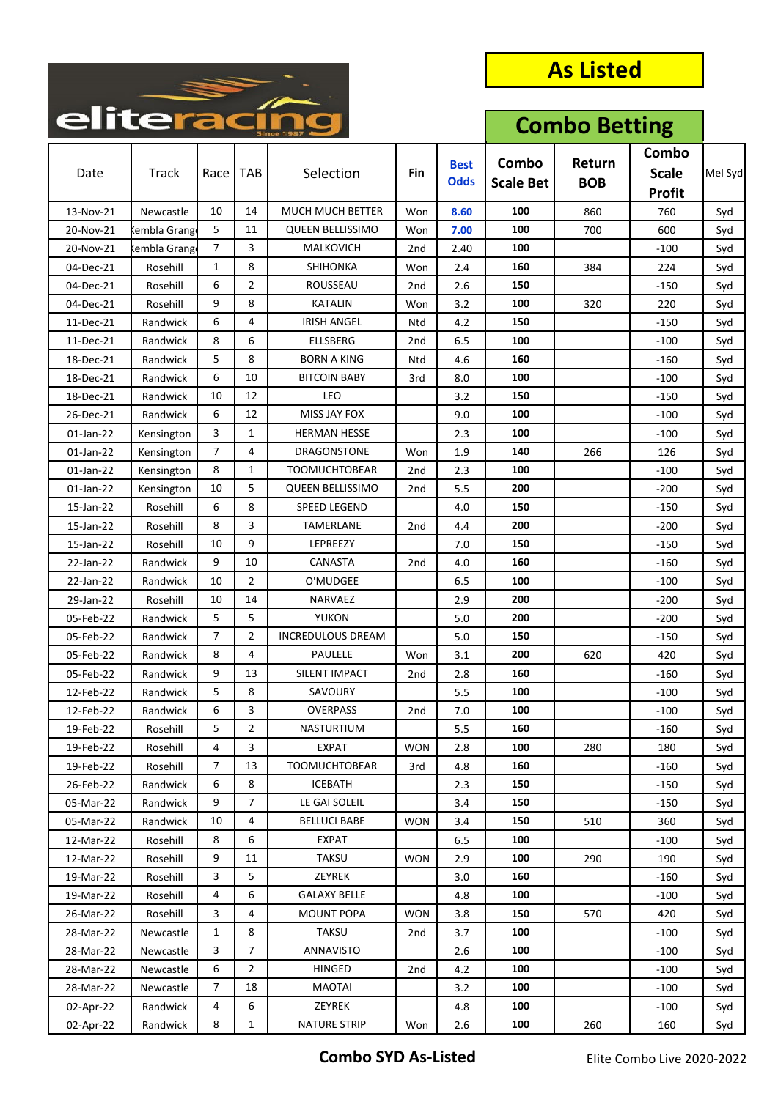

| enterac   |              |                |                |                          |                 |                            | <b>Combo Betting</b>      |                      |                                        |         |
|-----------|--------------|----------------|----------------|--------------------------|-----------------|----------------------------|---------------------------|----------------------|----------------------------------------|---------|
| Date      | Track        | Race           | <b>TAB</b>     | Selection                | Fin             | <b>Best</b><br><b>Odds</b> | Combo<br><b>Scale Bet</b> | Return<br><b>BOB</b> | Combo<br><b>Scale</b><br><b>Profit</b> | Mel Syd |
| 13-Nov-21 | Newcastle    | 10             | 14             | MUCH MUCH BETTER         | Won             | 8.60                       | 100                       | 860                  | 760                                    | Syd     |
| 20-Nov-21 | Kembla Grang | 5              | 11             | <b>QUEEN BELLISSIMO</b>  | Won             | 7.00                       | 100                       | 700                  | 600                                    | Syd     |
| 20-Nov-21 | Kembla Grang | $\overline{7}$ | 3              | MALKOVICH                | 2nd             | 2.40                       | 100                       |                      | $-100$                                 | Syd     |
| 04-Dec-21 | Rosehill     | $\mathbf{1}$   | 8              | SHIHONKA                 | Won             | 2.4                        | 160                       | 384                  | 224                                    | Syd     |
| 04-Dec-21 | Rosehill     | 6              | $\overline{2}$ | ROUSSEAU                 | 2nd             | 2.6                        | 150                       |                      | $-150$                                 | Syd     |
| 04-Dec-21 | Rosehill     | 9              | 8              | KATALIN                  | Won             | 3.2                        | 100                       | 320                  | 220                                    | Syd     |
| 11-Dec-21 | Randwick     | 6              | 4              | <b>IRISH ANGEL</b>       | Ntd             | 4.2                        | 150                       |                      | $-150$                                 | Syd     |
| 11-Dec-21 | Randwick     | 8              | 6              | <b>ELLSBERG</b>          | 2 <sub>nd</sub> | 6.5                        | 100                       |                      | $-100$                                 | Syd     |
| 18-Dec-21 | Randwick     | 5              | 8              | <b>BORN A KING</b>       | Ntd             | 4.6                        | 160                       |                      | $-160$                                 | Syd     |
| 18-Dec-21 | Randwick     | 6              | 10             | <b>BITCOIN BABY</b>      | 3rd             | 8.0                        | 100                       |                      | $-100$                                 | Syd     |
| 18-Dec-21 | Randwick     | 10             | 12             | <b>LEO</b>               |                 | 3.2                        | 150                       |                      | $-150$                                 | Syd     |
| 26-Dec-21 | Randwick     | 6              | 12             | MISS JAY FOX             |                 | 9.0                        | 100                       |                      | $-100$                                 | Syd     |
| 01-Jan-22 | Kensington   | 3              | $\mathbf{1}$   | <b>HERMAN HESSE</b>      |                 | 2.3                        | 100                       |                      | $-100$                                 | Syd     |
| 01-Jan-22 | Kensington   | $\overline{7}$ | 4              | <b>DRAGONSTONE</b>       | Won             | 1.9                        | 140                       | 266                  | 126                                    | Syd     |
| 01-Jan-22 | Kensington   | 8              | 1              | <b>TOOMUCHTOBEAR</b>     | 2nd             | 2.3                        | 100                       |                      | $-100$                                 | Syd     |
| 01-Jan-22 | Kensington   | 10             | 5              | <b>QUEEN BELLISSIMO</b>  | 2 <sub>nd</sub> | 5.5                        | 200                       |                      | $-200$                                 | Syd     |
| 15-Jan-22 | Rosehill     | 6              | 8              | <b>SPEED LEGEND</b>      |                 | 4.0                        | 150                       |                      | $-150$                                 | Syd     |
| 15-Jan-22 | Rosehill     | 8              | 3              | TAMERLANE                | 2nd             | 4.4                        | 200                       |                      | $-200$                                 | Syd     |
| 15-Jan-22 | Rosehill     | 10             | 9              | LEPREEZY                 |                 | 7.0                        | 150                       |                      | $-150$                                 | Syd     |
| 22-Jan-22 | Randwick     | 9              | 10             | CANASTA                  | 2nd             | 4.0                        | 160                       |                      | $-160$                                 | Syd     |
| 22-Jan-22 | Randwick     | 10             | 2              | O'MUDGEE                 |                 | 6.5                        | 100                       |                      | $-100$                                 | Syd     |
| 29-Jan-22 | Rosehill     | 10             | 14             | NARVAEZ                  |                 | 2.9                        | 200                       |                      | $-200$                                 | Syd     |
| 05-Feb-22 | Randwick     | 5              | 5              | <b>YUKON</b>             |                 | 5.0                        | 200                       |                      | $-200$                                 | Syd     |
| 05-Feb-22 | Randwick     | 7              | $\overline{2}$ | <b>INCREDULOUS DREAM</b> |                 | 5.0                        | 150                       |                      | $-150$                                 | Syd     |
| 05-Feb-22 | Randwick     | 8              | 4              | PAULELE                  | Won             | 3.1                        | 200                       | 620                  | 420                                    | Syd     |
| 05-Feb-22 | Randwick     | 9              | 13             | SILENT IMPACT            | 2nd             | 2.8                        | 160                       |                      | $-160$                                 | Syd     |
| 12-Feb-22 | Randwick     | 5              | 8              | SAVOURY                  |                 | 5.5                        | 100                       |                      | $-100$                                 | Syd     |
| 12-Feb-22 | Randwick     | 6              | 3              | <b>OVERPASS</b>          | 2nd             | 7.0                        | 100                       |                      | $-100$                                 | Syd     |
| 19-Feb-22 | Rosehill     | 5              | 2              | NASTURTIUM               |                 | 5.5                        | 160                       |                      | $-160$                                 | Syd     |
| 19-Feb-22 | Rosehill     | 4              | 3              | <b>EXPAT</b>             | <b>WON</b>      | 2.8                        | 100                       | 280                  | 180                                    | Syd     |
| 19-Feb-22 | Rosehill     | 7              | 13             | <b>TOOMUCHTOBEAR</b>     | 3rd             | 4.8                        | 160                       |                      | $-160$                                 | Syd     |
| 26-Feb-22 | Randwick     | 6              | 8              | <b>ICEBATH</b>           |                 | 2.3                        | 150                       |                      | $-150$                                 | Syd     |
| 05-Mar-22 | Randwick     | 9              | $\overline{7}$ | LE GAI SOLEIL            |                 | 3.4                        | 150                       |                      | -150                                   | Syd     |
| 05-Mar-22 | Randwick     | 10             | 4              | <b>BELLUCI BABE</b>      | <b>WON</b>      | 3.4                        | 150                       | 510                  | 360                                    | Syd     |
| 12-Mar-22 | Rosehill     | 8              | 6              | <b>EXPAT</b>             |                 | 6.5                        | 100                       |                      | $-100$                                 | Syd     |
| 12-Mar-22 | Rosehill     | 9              | 11             | <b>TAKSU</b>             | <b>WON</b>      | 2.9                        | 100                       | 290                  | 190                                    | Syd     |
| 19-Mar-22 | Rosehill     | 3              | 5              | ZEYREK                   |                 | 3.0                        | 160                       |                      | $-160$                                 | Syd     |
| 19-Mar-22 | Rosehill     | 4              | 6              | <b>GALAXY BELLE</b>      |                 | 4.8                        | 100                       |                      | $-100$                                 | Syd     |
| 26-Mar-22 | Rosehill     | 3              | 4              | <b>MOUNT POPA</b>        | <b>WON</b>      | 3.8                        | 150                       | 570                  | 420                                    | Syd     |
| 28-Mar-22 | Newcastle    | 1              | 8              | <b>TAKSU</b>             | 2nd             | 3.7                        | 100                       |                      | $-100$                                 | Syd     |
| 28-Mar-22 | Newcastle    | 3              | $\overline{7}$ | ANNAVISTO                |                 | 2.6                        | 100                       |                      | -100                                   | Syd     |
| 28-Mar-22 | Newcastle    | 6              | $\overline{2}$ | <b>HINGED</b>            | 2nd             | 4.2                        | 100                       |                      | $-100$                                 | Syd     |
| 28-Mar-22 | Newcastle    | 7              | 18             | MAOTAI                   |                 | 3.2                        | 100                       |                      | $-100$                                 | Syd     |
| 02-Apr-22 | Randwick     | 4              | 6              | ZEYREK                   |                 | 4.8                        | 100                       |                      | $-100$                                 | Syd     |
| 02-Apr-22 | Randwick     | 8              | $\mathbf{1}$   | <b>NATURE STRIP</b>      | Won             | 2.6                        | 100                       | 260                  | 160                                    | Syd     |